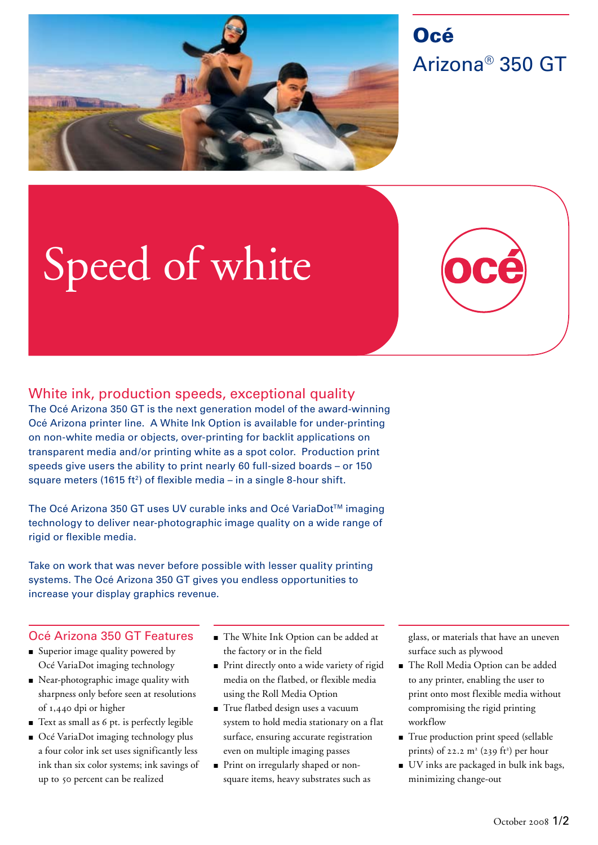

## **Océ** Arizona® 350 GT

# Speed of white

### White ink, production speeds, exceptional quality

The Océ Arizona 350 GT is the next generation model of the award-winning Océ Arizona printer line. A White Ink Option is available for under-printing on non-white media or objects, over-printing for backlit applications on transparent media and/or printing white as a spot color. Production print speeds give users the ability to print nearly 60 full-sized boards – or 150 square meters (1615 ft<sup>2</sup>) of flexible media – in a single 8-hour shift.

The Océ Arizona 350 GT uses UV curable inks and Océ VariaDot™ imaging technology to deliver near-photographic image quality on a wide range of rigid or flexible media.

Take on work that was never before possible with lesser quality printing systems. The Océ Arizona 350 GT gives you endless opportunities to increase your display graphics revenue.

#### Océ Arizona 350 GT Features

- Superior image quality powered by Océ VariaDot imaging technology
- Near-photographic image quality with sharpness only before seen at resolutions of 1,440 dpi or higher
- **•** Text as small as 6 pt. is perfectly legible
- Océ VariaDot imaging technology plus a four color ink set uses significantly less ink than six color systems; ink savings of up to 50 percent can be realized
- The White Ink Option can be added at the factory or in the field
- Print directly onto a wide variety of rigid media on the flatbed, or flexible media using the Roll Media Option
- **True flatbed design uses a vacuum** system to hold media stationary on a flat surface, ensuring accurate registration even on multiple imaging passes
- **Print on irregularly shaped or non**square items, heavy substrates such as

glass, or materials that have an uneven surface such as plywood

- The Roll Media Option can be added to any printer, enabling the user to print onto most flexible media without compromising the rigid printing workflow
- True production print speed (sellable prints) of 22.2  $m^2$  (239 ft<sup>2</sup>) per hour
- UV inks are packaged in bulk ink bags, minimizing change-out